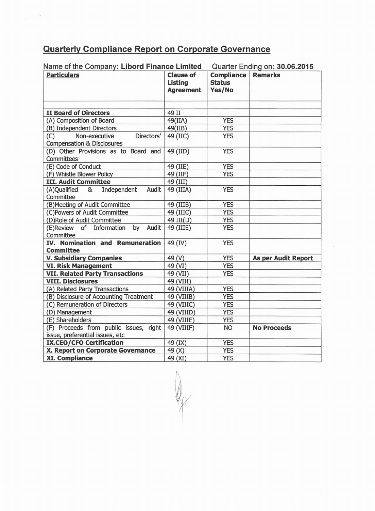## **Quarterly Compliance Report on Corporate Governance**

| <b>Quarterly Compliance Report on Corporate Governance</b>                           |                                  |                             |                               |
|--------------------------------------------------------------------------------------|----------------------------------|-----------------------------|-------------------------------|
|                                                                                      |                                  |                             |                               |
| Name of the Company: Libord Finance Limited                                          |                                  |                             | Quarter Ending on: 30.06.2015 |
| <b>Particulars</b>                                                                   | <b>Clause of</b>                 | <b>Compliance   Remarks</b> |                               |
|                                                                                      | <b>Listing</b>                   | <b>Status</b>               |                               |
|                                                                                      | <b>Agreement</b>                 | Yes/No                      |                               |
|                                                                                      |                                  |                             |                               |
|                                                                                      |                                  |                             |                               |
| II Board of Directors                                                                | 49 II                            |                             |                               |
| (A) Composition of Board                                                             | 49(IIA)                          | <b>YES</b><br><b>YES</b>    |                               |
| (B) Independent Directors<br>(C)<br>Non-executive                                    | 49(IIB)<br>Directors'   49 (IIC) | <b>YES</b>                  |                               |
| <b>Compensation &amp; Disclosures</b>                                                |                                  |                             |                               |
| (D) Other Provisions as to Board and $\sqrt{49}$ (IID)                               |                                  | <b>YES</b>                  |                               |
| Committees                                                                           |                                  |                             |                               |
| (E) Code of Conduct                                                                  | 49 (IIE)                         | <b>YES</b>                  |                               |
| (F) Whistle Blower Policy                                                            | 49 (IIF)                         | <b>YES</b>                  |                               |
| <b>III. Audit Committee</b>                                                          | 49 (III)                         |                             |                               |
| Independent Audit 49 (IIIA)<br>(A)Qualified<br>8 <sub>k</sub><br>Committee           |                                  | <b>YES</b>                  |                               |
| (B) Meeting of Audit Committee                                                       | 49 (IIIB)                        | <b>YES</b>                  |                               |
| (C)Powers of Audit Committee                                                         | 49 (IIIC)                        | <b>YES</b>                  |                               |
| (D)Role of Audit Committee                                                           | 49 III(D)                        | <b>YES</b>                  |                               |
| (E)Review of Information by Audit 49 (IIIE)                                          |                                  | <b>YES</b>                  |                               |
| Committee                                                                            |                                  |                             |                               |
| IV. Nomination and Remuneration $49$ (IV)<br><b>Committee</b>                        |                                  | <b>YES</b>                  |                               |
| <b>V. Subsidiary Companies</b>                                                       | 49 (V)                           | <b>YES</b>                  | As per Audit Report           |
| <b>VI. Risk Management</b>                                                           | 49 (VI)                          | <b>YES</b>                  |                               |
| <b>VII. Related Party Transactions</b>                                               | 49 (VII)                         | <b>YES</b>                  |                               |
| <b>VIII. Disclosures</b>                                                             | 49 (VIII)                        |                             |                               |
| (A) Related Party Transactions                                                       | 49 (VIIIA)                       | <b>YES</b>                  |                               |
| (B) Disclosure of Accounting Treatment                                               | 49 (VIIIB)                       | <b>YES</b>                  |                               |
| (C) Remuneration of Directors                                                        | 49 (VIIIC)                       | <b>YES</b>                  |                               |
| (D) Management                                                                       | 49 (VIIID)                       | <b>YES</b>                  |                               |
| (E) Shareholders                                                                     | 49 (VIIIE)                       | <b>YES</b>                  |                               |
| (F) Proceeds from public issues, right 49 (VIIIF)<br>issue, preferential issues, etc |                                  | <b>NO</b>                   | <b>No Proceeds</b>            |
| <b>IX.CEO/CFO Certification</b>                                                      | 49 (IX)                          | <b>YES</b>                  |                               |
| X. Report on Corporate Governance                                                    | 49(X)                            | YES                         |                               |
| <b>XI. Compliance</b>                                                                | 49 (XI)                          | <b>YES</b>                  |                               |

R